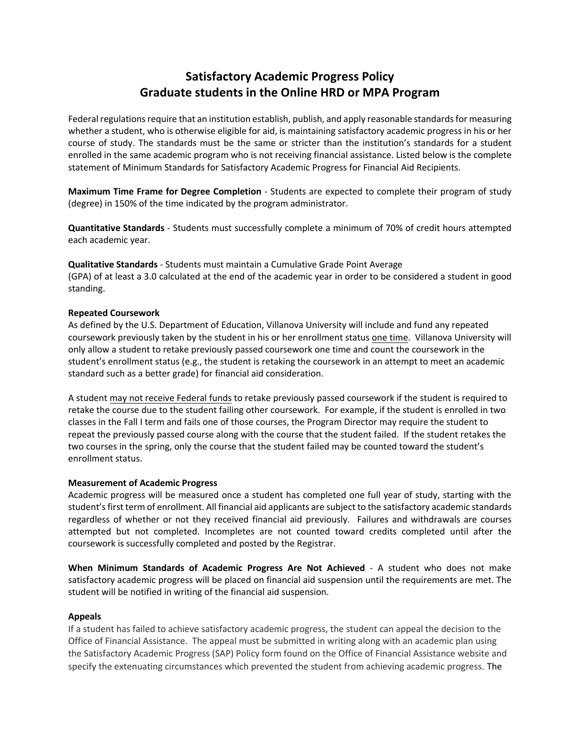# **Satisfactory Academic Progress Policy Graduate students in the Online HRD or MPA Program**

Federal regulations require that an institution establish, publish, and apply reasonable standards for measuring whether a student, who is otherwise eligible for aid, is maintaining satisfactory academic progress in his or her course of study. The standards must be the same or stricter than the institution's standards for a student enrolled in the same academic program who is not receiving financial assistance. Listed below is the complete statement of Minimum Standards for Satisfactory Academic Progress for Financial Aid Recipients.

**Maximum Time Frame for Degree Completion** - Students are expected to complete their program of study (degree) in 150% of the time indicated by the program administrator.

**Quantitative Standards** - Students must successfully complete a minimum of 70% of credit hours attempted each academic year.

**Qualitative Standards** - Students must maintain a Cumulative Grade Point Average (GPA) of at least a 3.0 calculated at the end of the academic year in order to be considered a student in good standing.

#### **Repeated Coursework**

As defined by the U.S. Department of Education, Villanova University will include and fund any repeated coursework previously taken by the student in his or her enrollment status one time. Villanova University will only allow a student to retake previously passed coursework one time and count the coursework in the student's enrollment status (e.g., the student is retaking the coursework in an attempt to meet an academic standard such as a better grade) for financial aid consideration.

A student may not receive Federal funds to retake previously passed coursework if the student is required to retake the course due to the student failing other coursework. For example, if the student is enrolled in two classes in the Fall I term and fails one of those courses, the Program Director may require the student to repeat the previously passed course along with the course that the student failed. If the student retakes the two courses in the spring, only the course that the student failed may be counted toward the student's enrollment status.

#### **Measurement of Academic Progress**

Academic progress will be measured once a student has completed one full year of study, starting with the student's first term of enrollment. All financial aid applicants are subject to the satisfactory academic standards regardless of whether or not they received financial aid previously. Failures and withdrawals are courses attempted but not completed. Incompletes are not counted toward credits completed until after the coursework is successfully completed and posted by the Registrar.

**When Minimum Standards of Academic Progress Are Not Achieved** - A student who does not make satisfactory academic progress will be placed on financial aid suspension until the requirements are met. The student will be notified in writing of the financial aid suspension.

#### **Appeals**

If a student has failed to achieve satisfactory academic progress, the student can appeal the decision to the Office of Financial Assistance. The appeal must be submitted in writing along with an academic plan using the Satisfactory Academic Progress (SAP) Policy form found on the Office of Financial Assistance website and specify the extenuating circumstances which prevented the student from achieving academic progress. The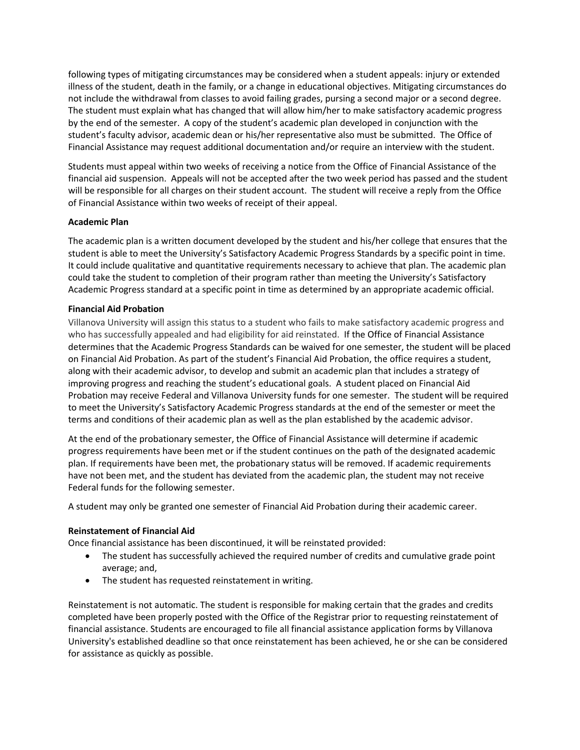following types of mitigating circumstances may be considered when a student appeals: injury or extended illness of the student, death in the family, or a change in educational objectives. Mitigating circumstances do not include the withdrawal from classes to avoid failing grades, pursing a second major or a second degree. The student must explain what has changed that will allow him/her to make satisfactory academic progress by the end of the semester. A copy of the student's academic plan developed in conjunction with the student's faculty advisor, academic dean or his/her representative also must be submitted. The Office of Financial Assistance may request additional documentation and/or require an interview with the student.

Students must appeal within two weeks of receiving a notice from the Office of Financial Assistance of the financial aid suspension. Appeals will not be accepted after the two week period has passed and the student will be responsible for all charges on their student account. The student will receive a reply from the Office of Financial Assistance within two weeks of receipt of their appeal.

## **Academic Plan**

The academic plan is a written document developed by the student and his/her college that ensures that the student is able to meet the University's Satisfactory Academic Progress Standards by a specific point in time. It could include qualitative and quantitative requirements necessary to achieve that plan. The academic plan could take the student to completion of their program rather than meeting the University's Satisfactory Academic Progress standard at a specific point in time as determined by an appropriate academic official.

## **Financial Aid Probation**

Villanova University will assign this status to a student who fails to make satisfactory academic progress and who has successfully appealed and had eligibility for aid reinstated. If the Office of Financial Assistance determines that the Academic Progress Standards can be waived for one semester, the student will be placed on Financial Aid Probation. As part of the student's Financial Aid Probation, the office requires a student, along with their academic advisor, to develop and submit an academic plan that includes a strategy of improving progress and reaching the student's educational goals. A student placed on Financial Aid Probation may receive Federal and Villanova University funds for one semester. The student will be required to meet the University's Satisfactory Academic Progress standards at the end of the semester or meet the terms and conditions of their academic plan as well as the plan established by the academic advisor.

At the end of the probationary semester, the Office of Financial Assistance will determine if academic progress requirements have been met or if the student continues on the path of the designated academic plan. If requirements have been met, the probationary status will be removed. If academic requirements have not been met, and the student has deviated from the academic plan, the student may not receive Federal funds for the following semester.

A student may only be granted one semester of Financial Aid Probation during their academic career.

## **Reinstatement of Financial Aid**

Once financial assistance has been discontinued, it will be reinstated provided:

- The student has successfully achieved the required number of credits and cumulative grade point average; and,
- The student has requested reinstatement in writing.

Reinstatement is not automatic. The student is responsible for making certain that the grades and credits completed have been properly posted with the Office of the Registrar prior to requesting reinstatement of financial assistance. Students are encouraged to file all financial assistance application forms by Villanova University's established deadline so that once reinstatement has been achieved, he or she can be considered for assistance as quickly as possible.